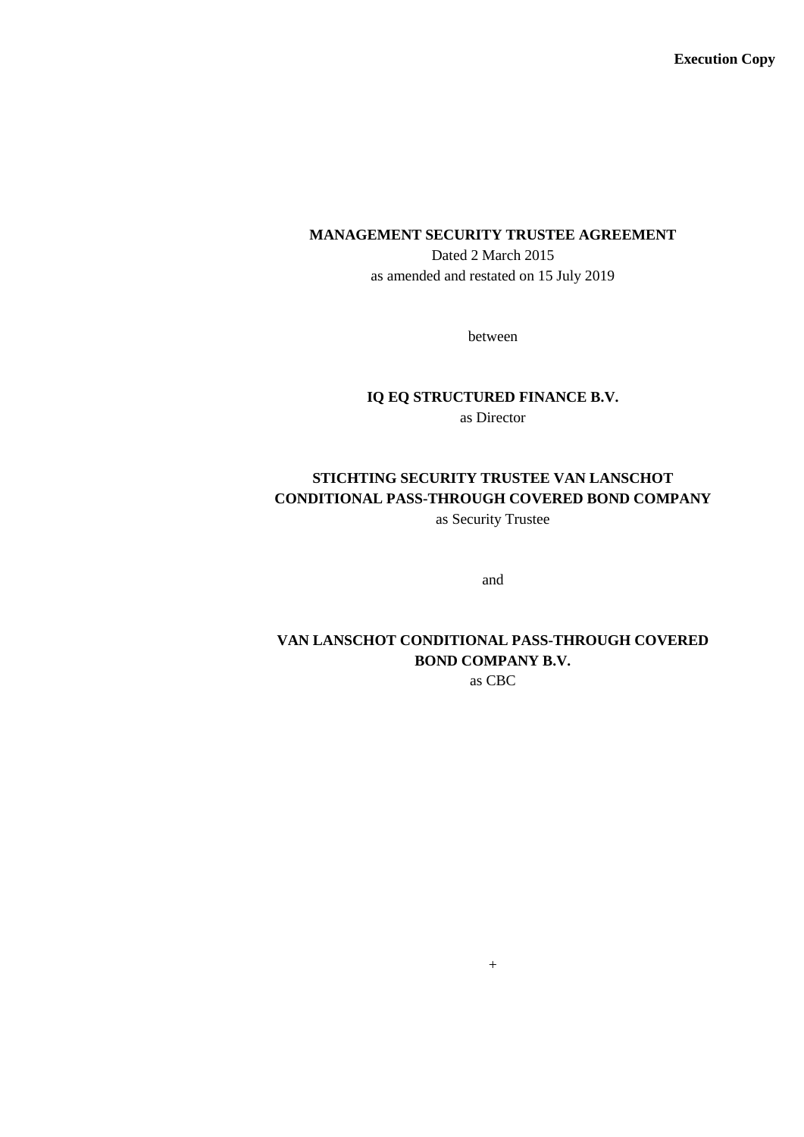**Execution Copy**

#### **MANAGEMENT SECURITY TRUSTEE AGREEMENT**

Dated 2 March 2015 as amended and restated on 15 July 2019

between

# **IQ EQ STRUCTURED FINANCE B.V.**

as Director

# **STICHTING SECURITY TRUSTEE VAN LANSCHOT CONDITIONAL PASS-THROUGH COVERED BOND COMPANY**

as Security Trustee

and

# **VAN LANSCHOT CONDITIONAL PASS-THROUGH COVERED BOND COMPANY B.V.**

as CBC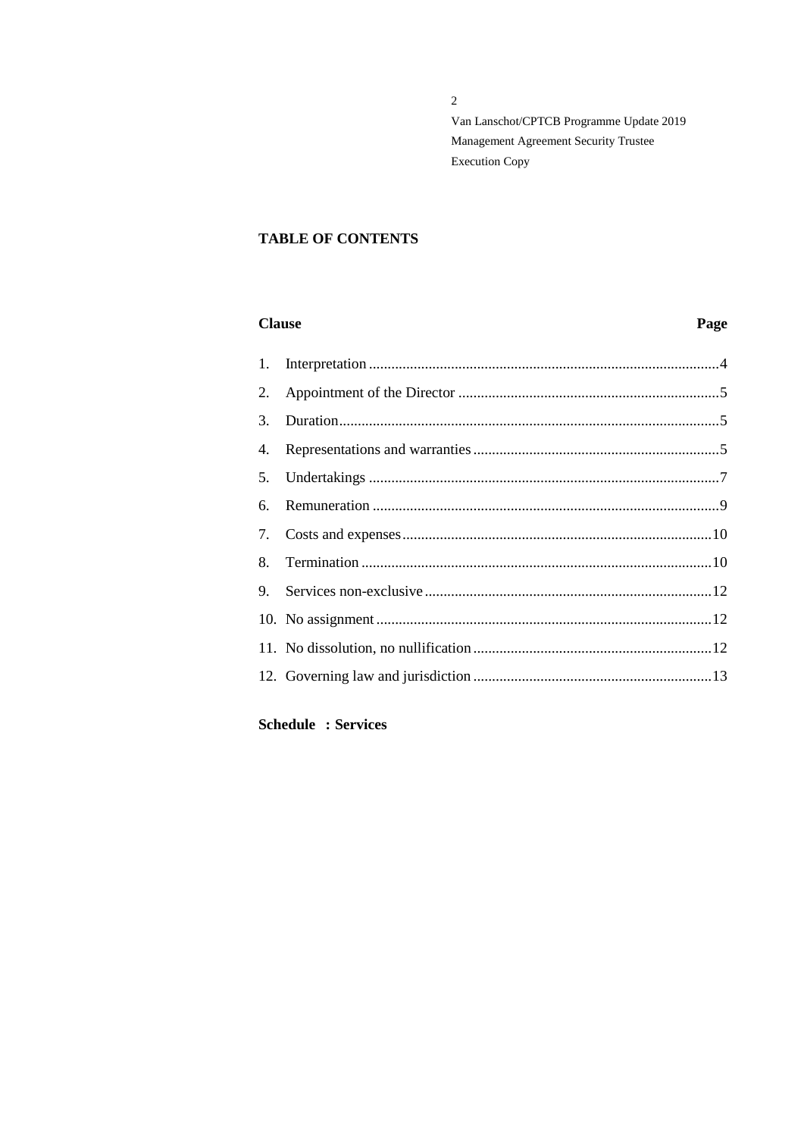$\overline{2}$ 

Van Lanschot/CPTCB Programme Update 2019 Management Agreement Security Trustee **Execution Copy** 

### **TABLE OF CONTENTS**

### **Clause**

# Page

| 1. |  |
|----|--|
| 2. |  |
| 3. |  |
| 4. |  |
|    |  |
| 6. |  |
|    |  |
| 8. |  |
| 9. |  |
|    |  |
|    |  |
|    |  |
|    |  |

**Schedule : Services**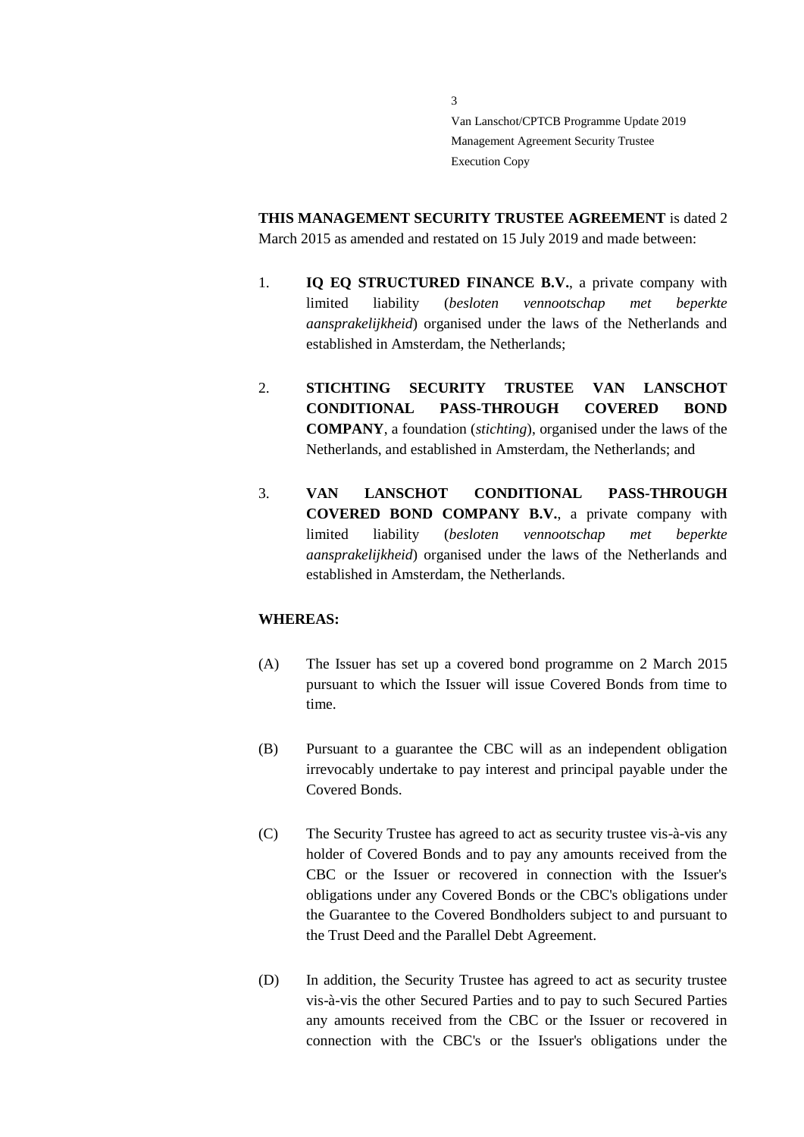**THIS MANAGEMENT SECURITY TRUSTEE AGREEMENT** is dated 2 March 2015 as amended and restated on 15 July 2019 and made between:

3

- 1. **IQ EQ STRUCTURED FINANCE B.V.**, a private company with limited liability (*besloten vennootschap met beperkte aansprakelijkheid*) organised under the laws of the Netherlands and established in Amsterdam, the Netherlands;
- 2. **STICHTING SECURITY TRUSTEE VAN LANSCHOT CONDITIONAL PASS-THROUGH COVERED BOND COMPANY**, a foundation (*stichting*), organised under the laws of the Netherlands, and established in Amsterdam, the Netherlands; and
- 3. **VAN LANSCHOT CONDITIONAL PASS-THROUGH COVERED BOND COMPANY B.V.**, a private company with limited liability (*besloten vennootschap met beperkte aansprakelijkheid*) organised under the laws of the Netherlands and established in Amsterdam, the Netherlands.

#### **WHEREAS:**

- (A) The Issuer has set up a covered bond programme on 2 March 2015 pursuant to which the Issuer will issue Covered Bonds from time to time.
- (B) Pursuant to a guarantee the CBC will as an independent obligation irrevocably undertake to pay interest and principal payable under the Covered Bonds.
- (C) The Security Trustee has agreed to act as security trustee vis-à-vis any holder of Covered Bonds and to pay any amounts received from the CBC or the Issuer or recovered in connection with the Issuer's obligations under any Covered Bonds or the CBC's obligations under the Guarantee to the Covered Bondholders subject to and pursuant to the Trust Deed and the Parallel Debt Agreement.
- (D) In addition, the Security Trustee has agreed to act as security trustee vis-à-vis the other Secured Parties and to pay to such Secured Parties any amounts received from the CBC or the Issuer or recovered in connection with the CBC's or the Issuer's obligations under the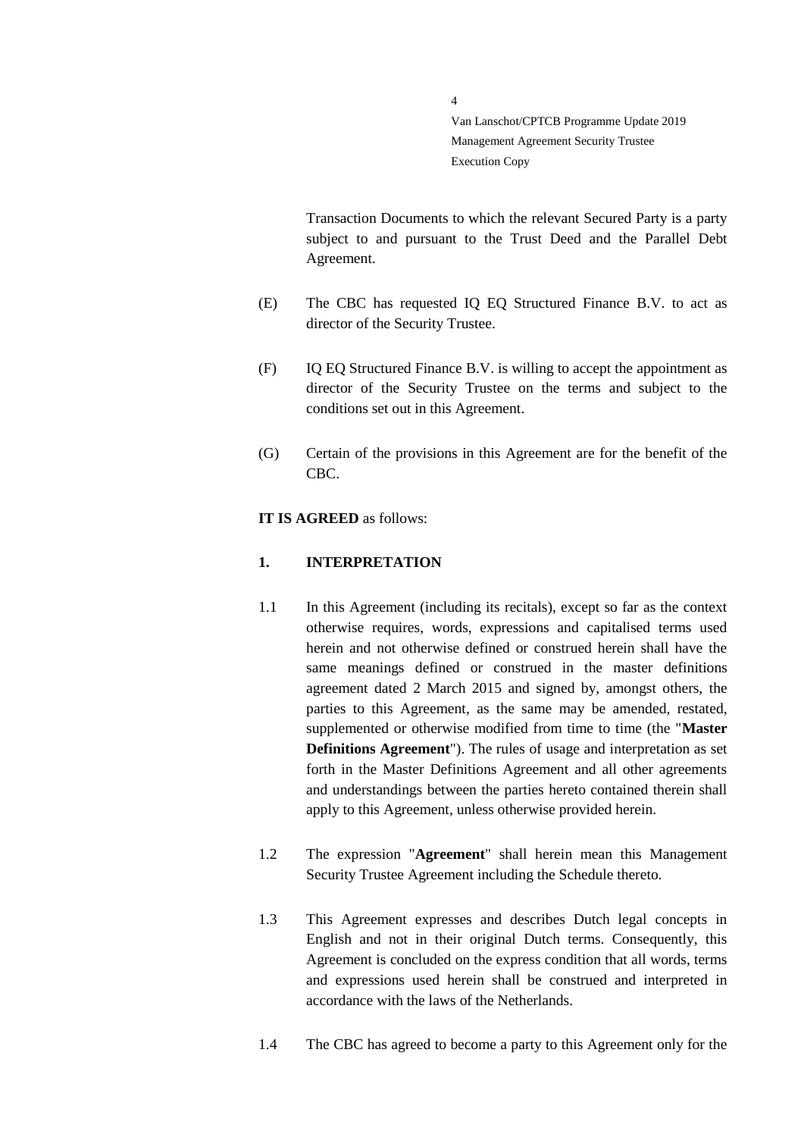Transaction Documents to which the relevant Secured Party is a party subject to and pursuant to the Trust Deed and the Parallel Debt Agreement.

(E) The CBC has requested IQ EQ Structured Finance B.V. to act as director of the Security Trustee.

4

- (F) IQ EQ Structured Finance B.V. is willing to accept the appointment as director of the Security Trustee on the terms and subject to the conditions set out in this Agreement.
- (G) Certain of the provisions in this Agreement are for the benefit of the CBC.

#### **IT IS AGREED** as follows:

#### <span id="page-3-0"></span>**1. INTERPRETATION**

- 1.1 In this Agreement (including its recitals), except so far as the context otherwise requires, words, expressions and capitalised terms used herein and not otherwise defined or construed herein shall have the same meanings defined or construed in the master definitions agreement dated 2 March 2015 and signed by, amongst others, the parties to this Agreement, as the same may be amended, restated, supplemented or otherwise modified from time to time (the "**Master Definitions Agreement**"). The rules of usage and interpretation as set forth in the Master Definitions Agreement and all other agreements and understandings between the parties hereto contained therein shall apply to this Agreement, unless otherwise provided herein.
- 1.2 The expression "**Agreement**" shall herein mean this Management Security Trustee Agreement including the Schedule thereto.
- 1.3 This Agreement expresses and describes Dutch legal concepts in English and not in their original Dutch terms. Consequently, this Agreement is concluded on the express condition that all words, terms and expressions used herein shall be construed and interpreted in accordance with the laws of the Netherlands.
- 1.4 The CBC has agreed to become a party to this Agreement only for the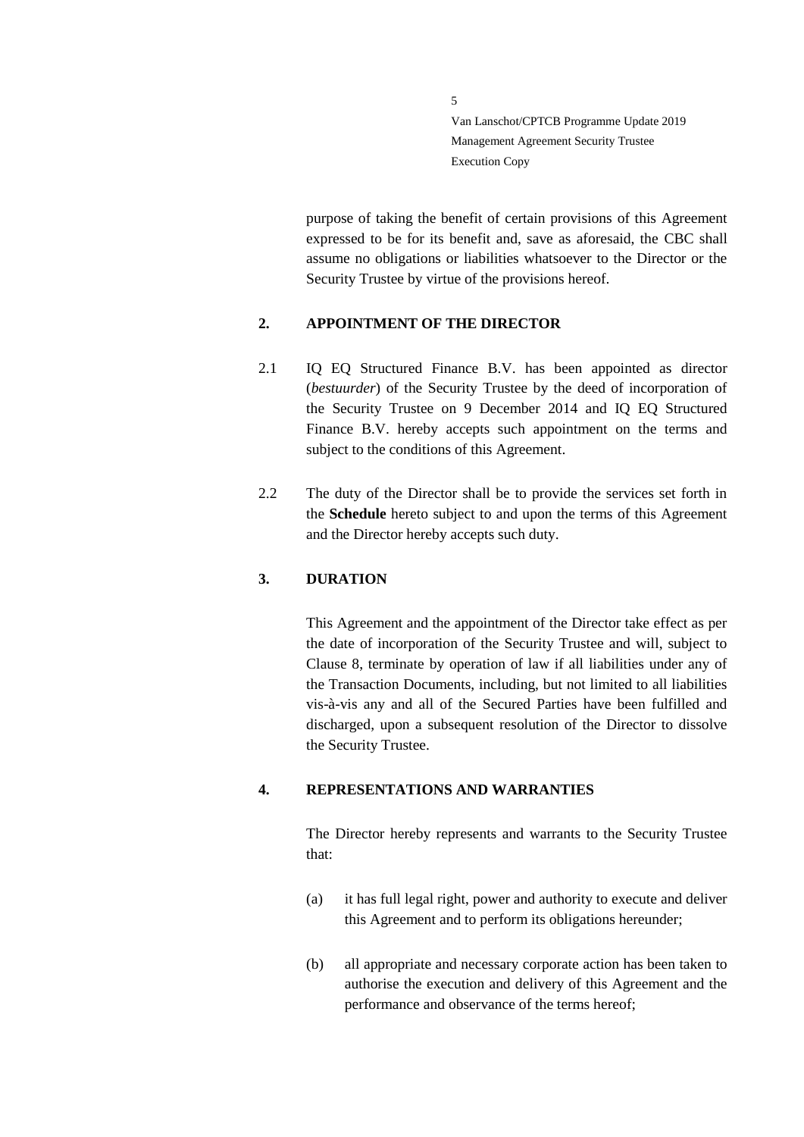purpose of taking the benefit of certain provisions of this Agreement expressed to be for its benefit and, save as aforesaid, the CBC shall assume no obligations or liabilities whatsoever to the Director or the Security Trustee by virtue of the provisions hereof.

#### <span id="page-4-0"></span>**2. APPOINTMENT OF THE DIRECTOR**

5

- 2.1 IQ EQ Structured Finance B.V. has been appointed as director (*bestuurder*) of the Security Trustee by the deed of incorporation of the Security Trustee on 9 December 2014 and IQ EQ Structured Finance B.V. hereby accepts such appointment on the terms and subject to the conditions of this Agreement.
- 2.2 The duty of the Director shall be to provide the services set forth in the **Schedule** hereto subject to and upon the terms of this Agreement and the Director hereby accepts such duty.

#### <span id="page-4-1"></span>**3. DURATION**

This Agreement and the appointment of the Director take effect as per the date of incorporation of the Security Trustee and will, subject to Clause [8,](#page-9-1) terminate by operation of law if all liabilities under any of the Transaction Documents, including, but not limited to all liabilities vis-à-vis any and all of the Secured Parties have been fulfilled and discharged, upon a subsequent resolution of the Director to dissolve the Security Trustee.

### <span id="page-4-2"></span>**4. REPRESENTATIONS AND WARRANTIES**

The Director hereby represents and warrants to the Security Trustee that:

- (a) it has full legal right, power and authority to execute and deliver this Agreement and to perform its obligations hereunder;
- (b) all appropriate and necessary corporate action has been taken to authorise the execution and delivery of this Agreement and the performance and observance of the terms hereof;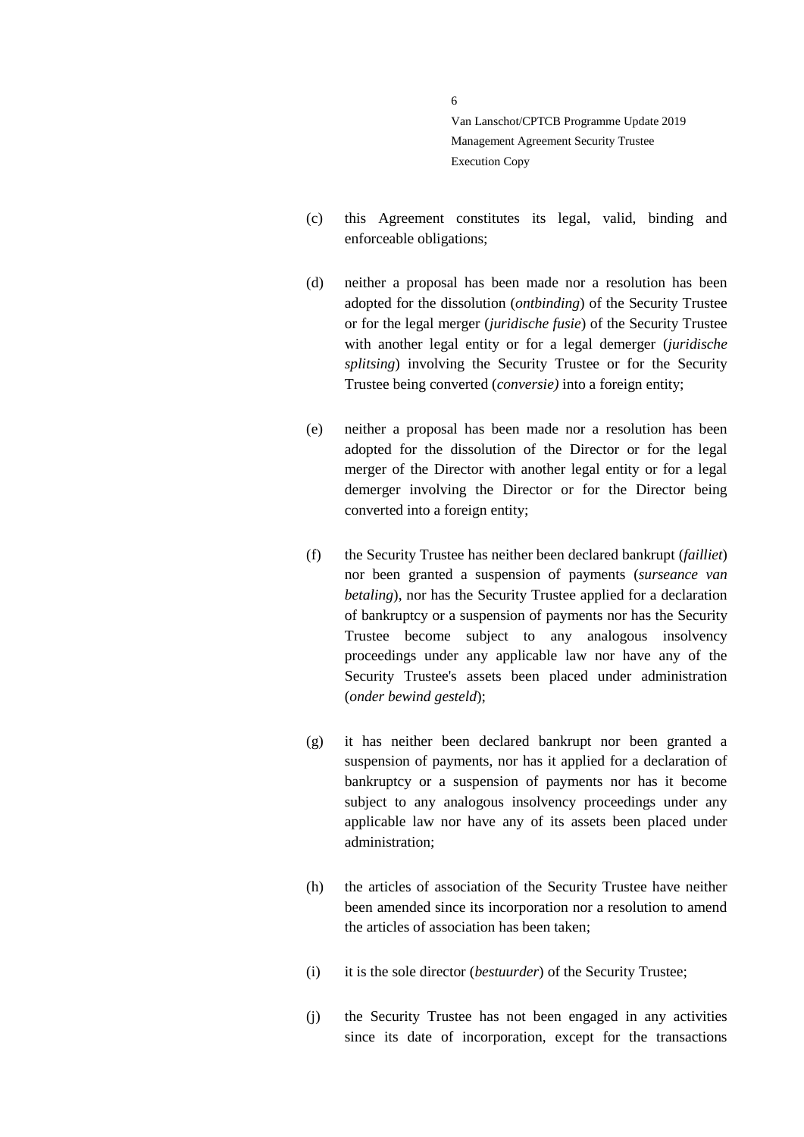(c) this Agreement constitutes its legal, valid, binding and enforceable obligations;

- (d) neither a proposal has been made nor a resolution has been adopted for the dissolution (*ontbinding*) of the Security Trustee or for the legal merger (*juridische fusie*) of the Security Trustee with another legal entity or for a legal demerger (*juridische splitsing*) involving the Security Trustee or for the Security Trustee being converted (*conversie)* into a foreign entity;
- (e) neither a proposal has been made nor a resolution has been adopted for the dissolution of the Director or for the legal merger of the Director with another legal entity or for a legal demerger involving the Director or for the Director being converted into a foreign entity;
- (f) the Security Trustee has neither been declared bankrupt (*failliet*) nor been granted a suspension of payments (*surseance van betaling*), nor has the Security Trustee applied for a declaration of bankruptcy or a suspension of payments nor has the Security Trustee become subject to any analogous insolvency proceedings under any applicable law nor have any of the Security Trustee's assets been placed under administration (*onder bewind gesteld*);
- (g) it has neither been declared bankrupt nor been granted a suspension of payments, nor has it applied for a declaration of bankruptcy or a suspension of payments nor has it become subject to any analogous insolvency proceedings under any applicable law nor have any of its assets been placed under administration;
- (h) the articles of association of the Security Trustee have neither been amended since its incorporation nor a resolution to amend the articles of association has been taken;
- (i) it is the sole director (*bestuurder*) of the Security Trustee;
- (j) the Security Trustee has not been engaged in any activities since its date of incorporation, except for the transactions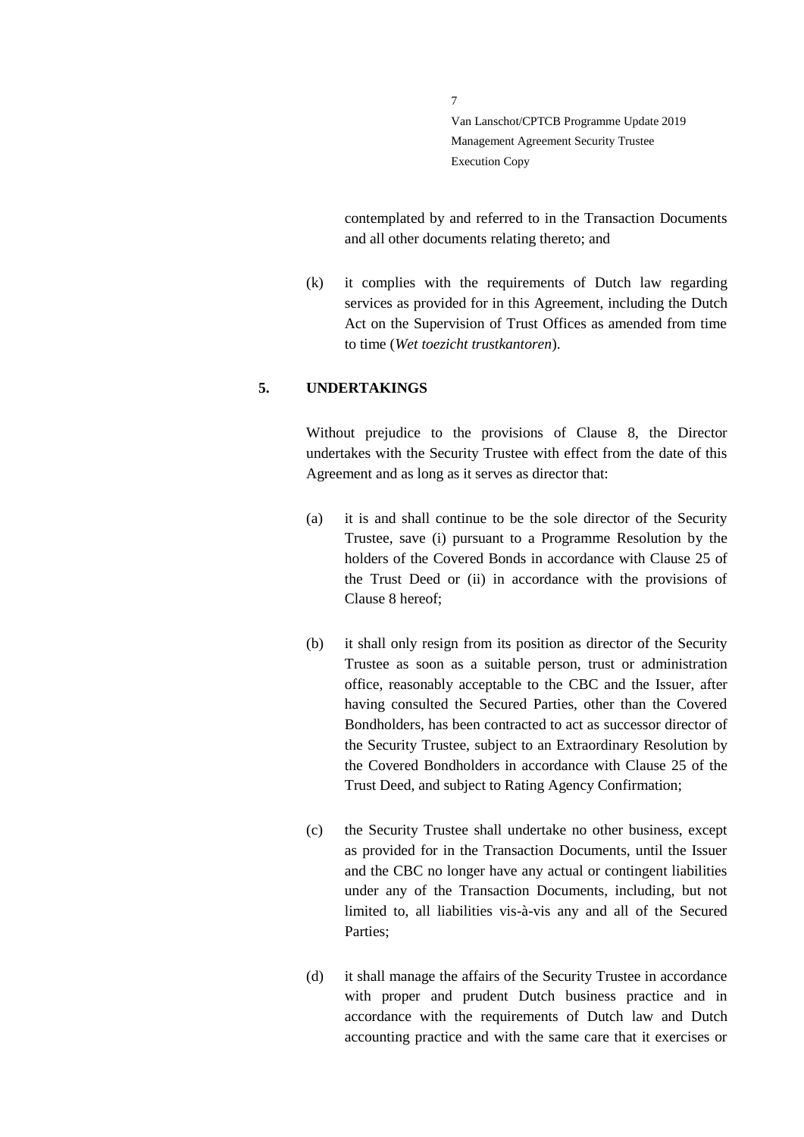contemplated by and referred to in the Transaction Documents and all other documents relating thereto; and

(k) it complies with the requirements of Dutch law regarding services as provided for in this Agreement, including the Dutch Act on the Supervision of Trust Offices as amended from time to time (*Wet toezicht trustkantoren*).

#### <span id="page-6-0"></span>**5. UNDERTAKINGS**

Without prejudice to the provisions of Clause 8, the Director undertakes with the Security Trustee with effect from the date of this Agreement and as long as it serves as director that:

- (a) it is and shall continue to be the sole director of the Security Trustee, save (i) pursuant to a Programme Resolution by the holders of the Covered Bonds in accordance with Clause 25 of the Trust Deed or (ii) in accordance with the provisions of Clause 8 hereof;
- (b) it shall only resign from its position as director of the Security Trustee as soon as a suitable person, trust or administration office, reasonably acceptable to the CBC and the Issuer, after having consulted the Secured Parties, other than the Covered Bondholders, has been contracted to act as successor director of the Security Trustee, subject to an Extraordinary Resolution by the Covered Bondholders in accordance with Clause 25 of the Trust Deed, and subject to Rating Agency Confirmation;
- (c) the Security Trustee shall undertake no other business, except as provided for in the Transaction Documents, until the Issuer and the CBC no longer have any actual or contingent liabilities under any of the Transaction Documents, including, but not limited to, all liabilities vis-à-vis any and all of the Secured Parties;
- (d) it shall manage the affairs of the Security Trustee in accordance with proper and prudent Dutch business practice and in accordance with the requirements of Dutch law and Dutch accounting practice and with the same care that it exercises or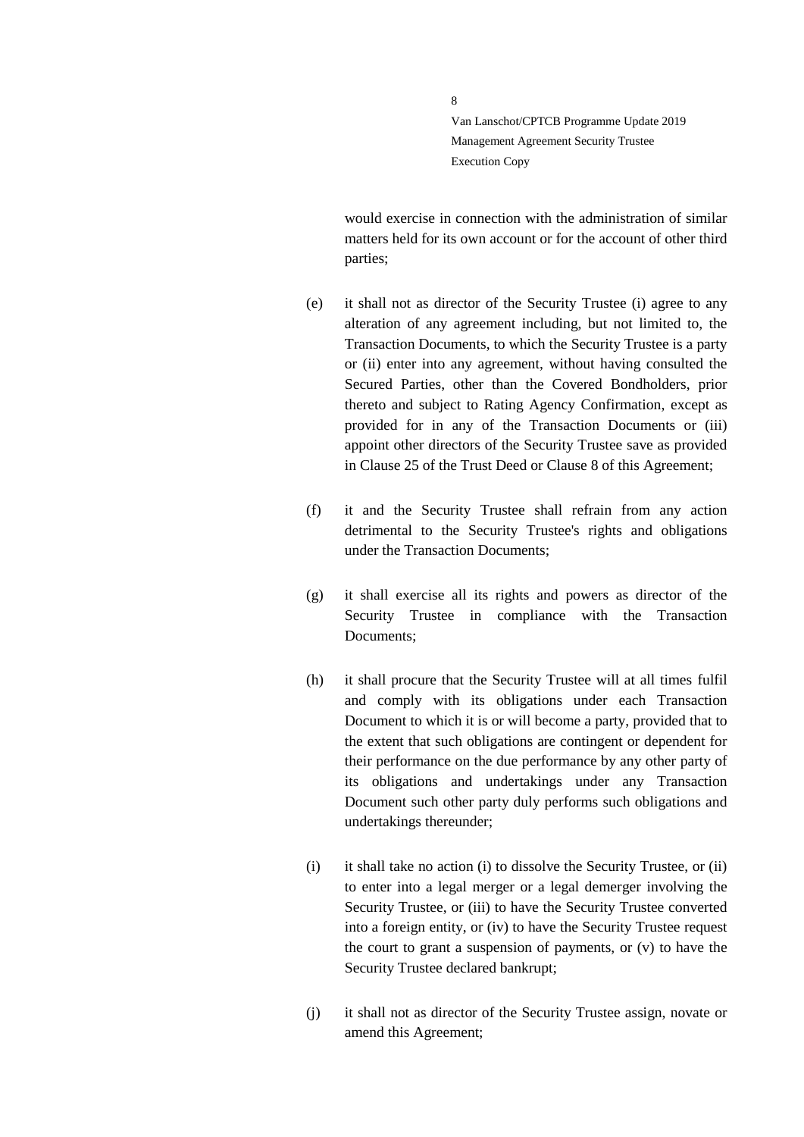would exercise in connection with the administration of similar matters held for its own account or for the account of other third parties;

- (e) it shall not as director of the Security Trustee (i) agree to any alteration of any agreement including, but not limited to, the Transaction Documents, to which the Security Trustee is a party or (ii) enter into any agreement, without having consulted the Secured Parties, other than the Covered Bondholders, prior thereto and subject to Rating Agency Confirmation, except as provided for in any of the Transaction Documents or (iii) appoint other directors of the Security Trustee save as provided in Clause 25 of the Trust Deed or Clause 8 of this Agreement;
- (f) it and the Security Trustee shall refrain from any action detrimental to the Security Trustee's rights and obligations under the Transaction Documents;
- (g) it shall exercise all its rights and powers as director of the Security Trustee in compliance with the Transaction Documents;
- (h) it shall procure that the Security Trustee will at all times fulfil and comply with its obligations under each Transaction Document to which it is or will become a party, provided that to the extent that such obligations are contingent or dependent for their performance on the due performance by any other party of its obligations and undertakings under any Transaction Document such other party duly performs such obligations and undertakings thereunder;
- (i) it shall take no action (i) to dissolve the Security Trustee, or (ii) to enter into a legal merger or a legal demerger involving the Security Trustee, or (iii) to have the Security Trustee converted into a foreign entity, or (iv) to have the Security Trustee request the court to grant a suspension of payments, or (v) to have the Security Trustee declared bankrupt;
- (j) it shall not as director of the Security Trustee assign, novate or amend this Agreement;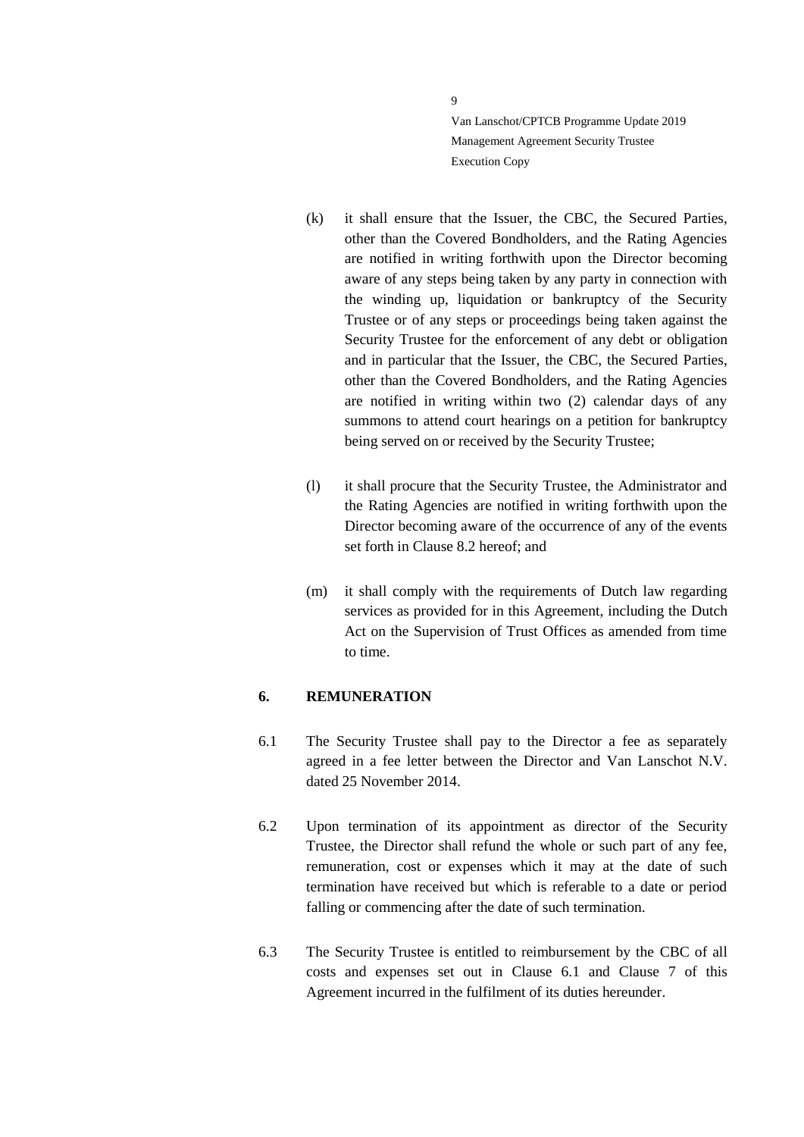- (k) it shall ensure that the Issuer, the CBC, the Secured Parties, other than the Covered Bondholders, and the Rating Agencies are notified in writing forthwith upon the Director becoming aware of any steps being taken by any party in connection with the winding up, liquidation or bankruptcy of the Security Trustee or of any steps or proceedings being taken against the Security Trustee for the enforcement of any debt or obligation and in particular that the Issuer, the CBC, the Secured Parties, other than the Covered Bondholders, and the Rating Agencies are notified in writing within two (2) calendar days of any summons to attend court hearings on a petition for bankruptcy being served on or received by the Security Trustee;
- (l) it shall procure that the Security Trustee, the Administrator and the Rating Agencies are notified in writing forthwith upon the Director becoming aware of the occurrence of any of the events set forth in Clause 8.2 hereof; and
- (m) it shall comply with the requirements of Dutch law regarding services as provided for in this Agreement, including the Dutch Act on the Supervision of Trust Offices as amended from time to time.

#### <span id="page-8-0"></span>**6. REMUNERATION**

- <span id="page-8-1"></span>6.1 The Security Trustee shall pay to the Director a fee as separately agreed in a fee letter between the Director and Van Lanschot N.V. dated 25 November 2014.
- 6.2 Upon termination of its appointment as director of the Security Trustee, the Director shall refund the whole or such part of any fee, remuneration, cost or expenses which it may at the date of such termination have received but which is referable to a date or period falling or commencing after the date of such termination.
- 6.3 The Security Trustee is entitled to reimbursement by the CBC of all costs and expenses set out in Clause [6.1](#page-8-1) and Clause [7](#page-9-0) of this Agreement incurred in the fulfilment of its duties hereunder.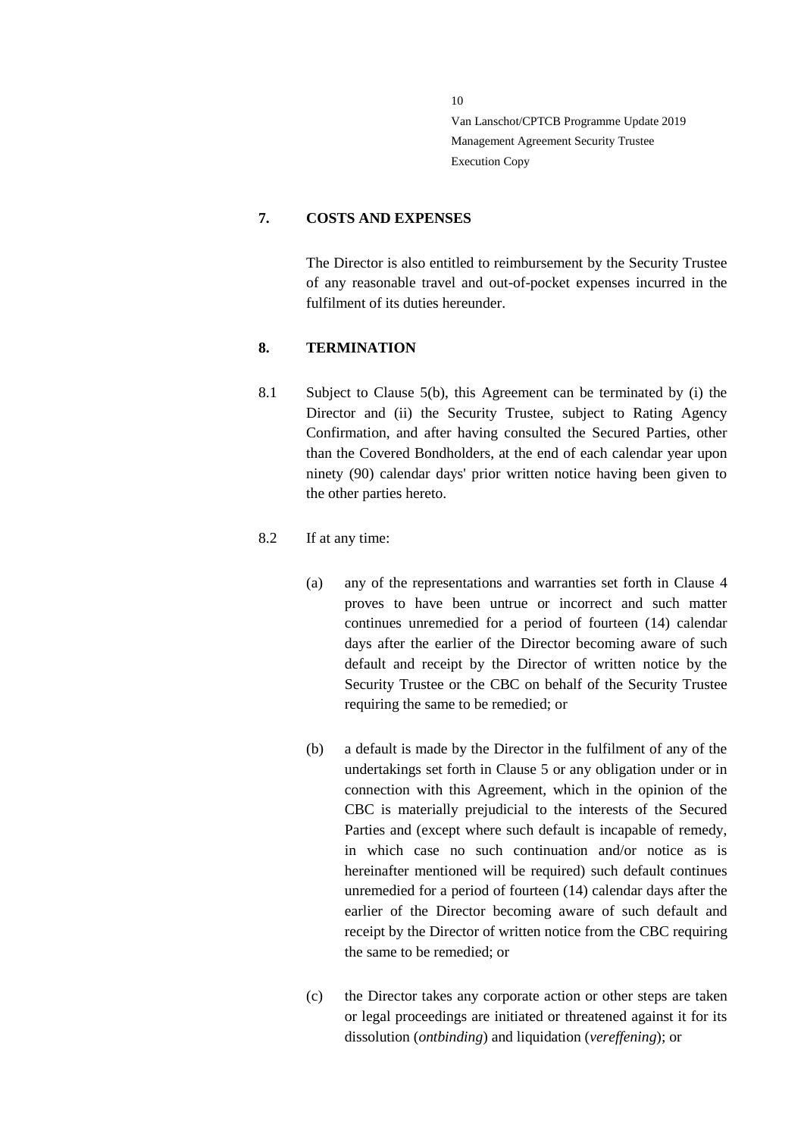#### <span id="page-9-0"></span>**7. COSTS AND EXPENSES**

The Director is also entitled to reimbursement by the Security Trustee of any reasonable travel and out-of-pocket expenses incurred in the fulfilment of its duties hereunder.

### <span id="page-9-1"></span>**8. TERMINATION**

8.1 Subject to Clause [5\(](#page-6-0)b), this Agreement can be terminated by (i) the Director and (ii) the Security Trustee, subject to Rating Agency Confirmation, and after having consulted the Secured Parties, other than the Covered Bondholders, at the end of each calendar year upon ninety (90) calendar days' prior written notice having been given to the other parties hereto.

### 8.2 If at any time:

- (a) any of the representations and warranties set forth in Clause 4 proves to have been untrue or incorrect and such matter continues unremedied for a period of fourteen (14) calendar days after the earlier of the Director becoming aware of such default and receipt by the Director of written notice by the Security Trustee or the CBC on behalf of the Security Trustee requiring the same to be remedied; or
- (b) a default is made by the Director in the fulfilment of any of the undertakings set forth in Clause 5 or any obligation under or in connection with this Agreement, which in the opinion of the CBC is materially prejudicial to the interests of the Secured Parties and (except where such default is incapable of remedy, in which case no such continuation and/or notice as is hereinafter mentioned will be required) such default continues unremedied for a period of fourteen (14) calendar days after the earlier of the Director becoming aware of such default and receipt by the Director of written notice from the CBC requiring the same to be remedied; or
- (c) the Director takes any corporate action or other steps are taken or legal proceedings are initiated or threatened against it for its dissolution (*ontbinding*) and liquidation (*vereffening*); or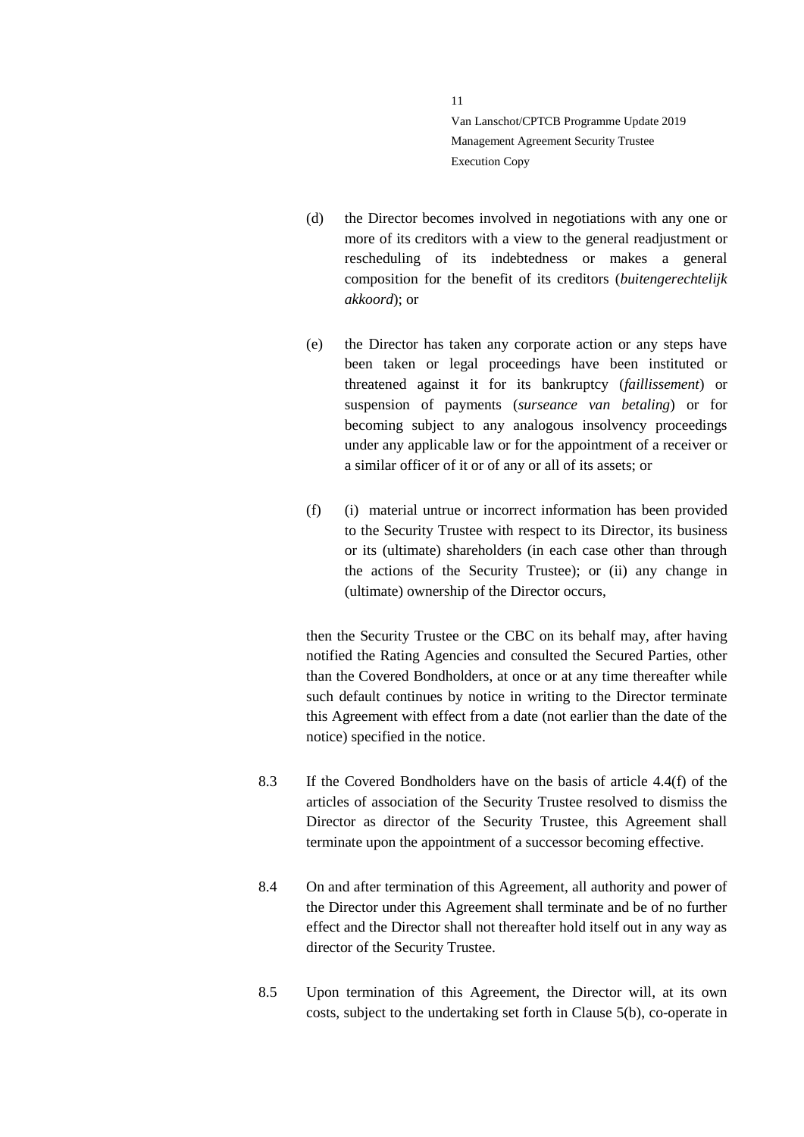- (d) the Director becomes involved in negotiations with any one or more of its creditors with a view to the general readjustment or rescheduling of its indebtedness or makes a general composition for the benefit of its creditors (*buitengerechtelijk akkoord*); or
- (e) the Director has taken any corporate action or any steps have been taken or legal proceedings have been instituted or threatened against it for its bankruptcy (*faillissement*) or suspension of payments (*surseance van betaling*) or for becoming subject to any analogous insolvency proceedings under any applicable law or for the appointment of a receiver or a similar officer of it or of any or all of its assets; or
- (f) (i) material untrue or incorrect information has been provided to the Security Trustee with respect to its Director, its business or its (ultimate) shareholders (in each case other than through the actions of the Security Trustee); or (ii) any change in (ultimate) ownership of the Director occurs,

then the Security Trustee or the CBC on its behalf may, after having notified the Rating Agencies and consulted the Secured Parties, other than the Covered Bondholders, at once or at any time thereafter while such default continues by notice in writing to the Director terminate this Agreement with effect from a date (not earlier than the date of the notice) specified in the notice.

- 8.3 If the Covered Bondholders have on the basis of article 4.4(f) of the articles of association of the Security Trustee resolved to dismiss the Director as director of the Security Trustee, this Agreement shall terminate upon the appointment of a successor becoming effective.
- 8.4 On and after termination of this Agreement, all authority and power of the Director under this Agreement shall terminate and be of no further effect and the Director shall not thereafter hold itself out in any way as director of the Security Trustee.
- 8.5 Upon termination of this Agreement, the Director will, at its own costs, subject to the undertaking set forth in Clause [5\(](#page-6-0)b), co-operate in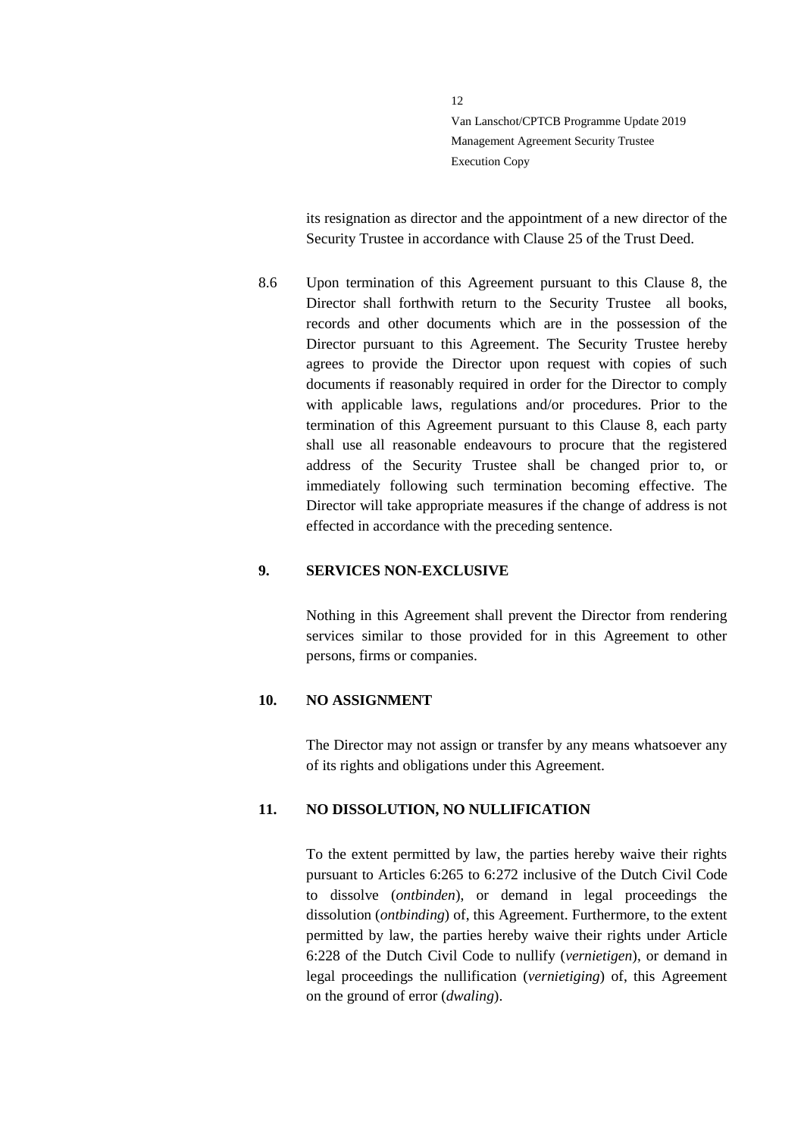its resignation as director and the appointment of a new director of the Security Trustee in accordance with Clause 25 of the Trust Deed.

8.6 Upon termination of this Agreement pursuant to this Clause 8, the Director shall forthwith return to the Security Trustee all books, records and other documents which are in the possession of the Director pursuant to this Agreement. The Security Trustee hereby agrees to provide the Director upon request with copies of such documents if reasonably required in order for the Director to comply with applicable laws, regulations and/or procedures. Prior to the termination of this Agreement pursuant to this Clause 8, each party shall use all reasonable endeavours to procure that the registered address of the Security Trustee shall be changed prior to, or immediately following such termination becoming effective. The Director will take appropriate measures if the change of address is not effected in accordance with the preceding sentence.

#### <span id="page-11-0"></span>**9. SERVICES NON-EXCLUSIVE**

Nothing in this Agreement shall prevent the Director from rendering services similar to those provided for in this Agreement to other persons, firms or companies.

#### <span id="page-11-1"></span>**10. NO ASSIGNMENT**

The Director may not assign or transfer by any means whatsoever any of its rights and obligations under this Agreement.

#### <span id="page-11-2"></span>**11. NO DISSOLUTION, NO NULLIFICATION**

To the extent permitted by law, the parties hereby waive their rights pursuant to Articles 6:265 to 6:272 inclusive of the Dutch Civil Code to dissolve (*ontbinden*), or demand in legal proceedings the dissolution (*ontbinding*) of, this Agreement. Furthermore, to the extent permitted by law, the parties hereby waive their rights under Article 6:228 of the Dutch Civil Code to nullify (*vernietigen*), or demand in legal proceedings the nullification (*vernietiging*) of, this Agreement on the ground of error (*dwaling*).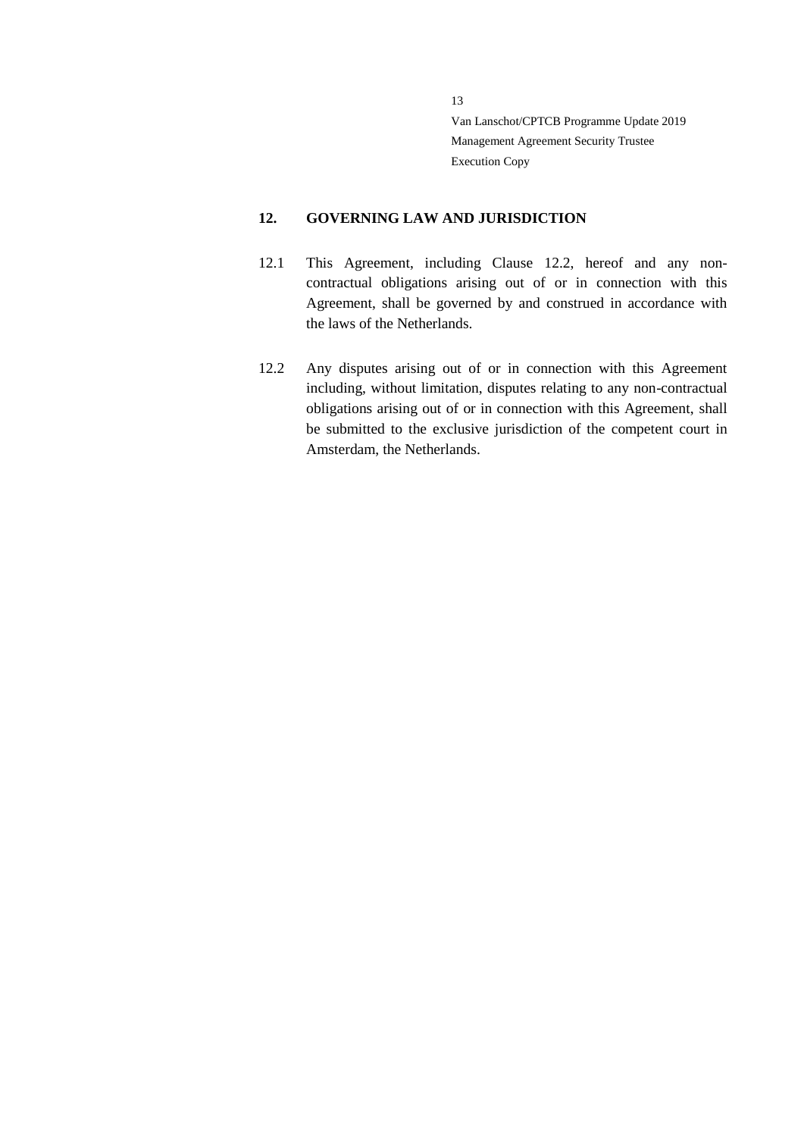### <span id="page-12-0"></span>**12. GOVERNING LAW AND JURISDICTION**

- 12.1 This Agreement, including Clause [12.2,](#page-12-1) hereof and any noncontractual obligations arising out of or in connection with this Agreement, shall be governed by and construed in accordance with the laws of the Netherlands.
- <span id="page-12-1"></span>12.2 Any disputes arising out of or in connection with this Agreement including, without limitation, disputes relating to any non-contractual obligations arising out of or in connection with this Agreement, shall be submitted to the exclusive jurisdiction of the competent court in Amsterdam, the Netherlands.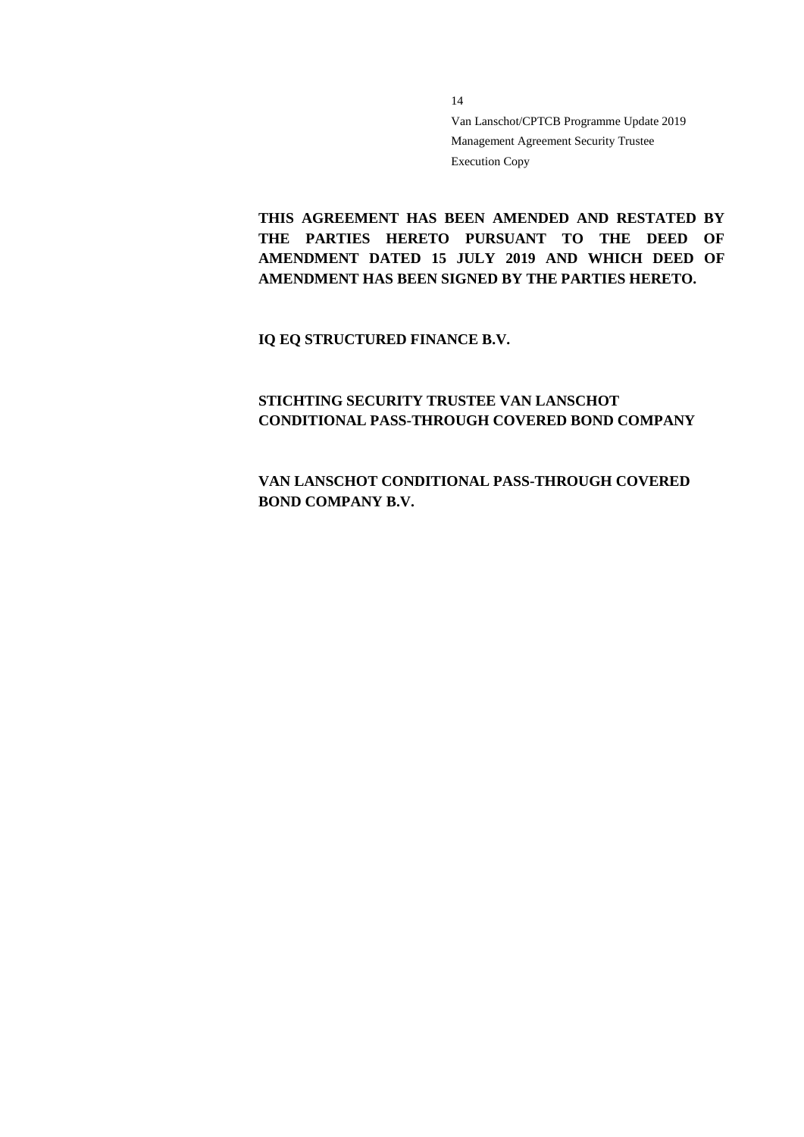**THIS AGREEMENT HAS BEEN AMENDED AND RESTATED BY THE PARTIES HERETO PURSUANT TO THE DEED OF AMENDMENT DATED 15 JULY 2019 AND WHICH DEED OF AMENDMENT HAS BEEN SIGNED BY THE PARTIES HERETO.**

**IQ EQ STRUCTURED FINANCE B.V.**

### **STICHTING SECURITY TRUSTEE VAN LANSCHOT CONDITIONAL PASS-THROUGH COVERED BOND COMPANY**

**VAN LANSCHOT CONDITIONAL PASS-THROUGH COVERED BOND COMPANY B.V.**